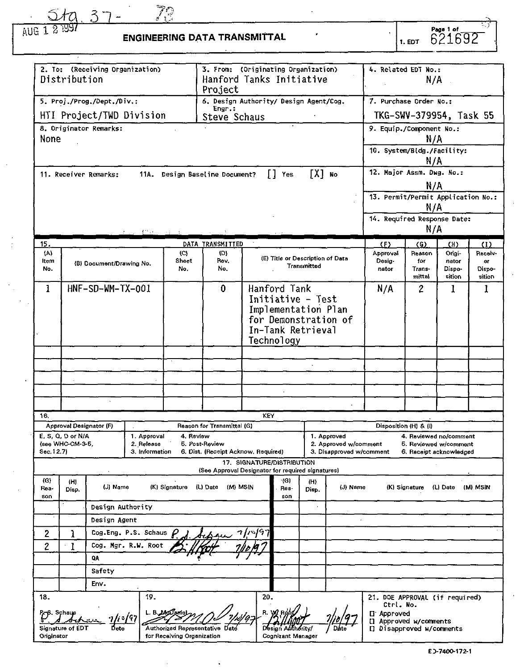€

 $\tau$ 

**3 1 -**

# AUG **ENGINEERING DATA TRANSMITTAL**

ł,

 $79$ 

 $\overline{621692}$ 

| 2. To: (Receiving Organization)<br>Distribution |                                                                                                                                      |                          |                                       |                                        | 3. From: (Originating Organization)<br>Hanford Tanks Initiative<br>Project |                                 |                                                              |              |                                                   | 4. Related EDT No.:<br>N/A                      |                                                  |                 |              |
|-------------------------------------------------|--------------------------------------------------------------------------------------------------------------------------------------|--------------------------|---------------------------------------|----------------------------------------|----------------------------------------------------------------------------|---------------------------------|--------------------------------------------------------------|--------------|---------------------------------------------------|-------------------------------------------------|--------------------------------------------------|-----------------|--------------|
| 5. Proj./Prog./Dept./Div.:                      |                                                                                                                                      |                          |                                       | 6. Design Authority/ Design Agent/Cog. |                                                                            |                                 | 7. Purchase Order No.:                                       |              |                                                   |                                                 |                                                  |                 |              |
|                                                 |                                                                                                                                      |                          | HTI Project/TWD Division              |                                        | Engr.:<br>Steve Schaus                                                     |                                 |                                                              |              |                                                   |                                                 | TKG-SWV-379954, Task 55                          |                 |              |
|                                                 | 8. Originator Remarks:<br>None                                                                                                       |                          |                                       |                                        |                                                                            | 9. Equip./Component No.:<br>N/A |                                                              |              |                                                   |                                                 |                                                  |                 |              |
|                                                 |                                                                                                                                      |                          |                                       |                                        |                                                                            |                                 |                                                              |              |                                                   | 10. System/Bldg./Facility:                      |                                                  |                 |              |
|                                                 |                                                                                                                                      |                          |                                       |                                        |                                                                            |                                 |                                                              |              |                                                   |                                                 | N/A                                              |                 |              |
|                                                 |                                                                                                                                      | 11. Receiver Remarks:    |                                       |                                        | 11A. Design Baseline Document?                                             |                                 | $\left[\begin{array}{ccc} 1 & \text{Yes.}\end{array}\right]$ | ΓX] No       |                                                   | 12. Major Assm. Dwg. No.:                       |                                                  |                 |              |
|                                                 |                                                                                                                                      |                          |                                       |                                        |                                                                            |                                 |                                                              |              |                                                   |                                                 | N/A                                              |                 |              |
|                                                 |                                                                                                                                      |                          |                                       |                                        |                                                                            |                                 |                                                              |              |                                                   | 13. Permit/Permit Application No.:              | N/A                                              |                 |              |
|                                                 |                                                                                                                                      |                          |                                       |                                        |                                                                            |                                 |                                                              |              |                                                   | 14. Required Response Date:                     |                                                  |                 |              |
|                                                 |                                                                                                                                      |                          | 89.2                                  |                                        |                                                                            |                                 |                                                              |              |                                                   |                                                 | N/A                                              |                 |              |
| 15.                                             |                                                                                                                                      |                          |                                       |                                        | DATA TRANSMITTED                                                           |                                 |                                                              |              |                                                   | (F)                                             | (G)                                              | (H)             | (1)          |
| (A)                                             |                                                                                                                                      |                          |                                       | (C)                                    | (D)                                                                        |                                 | (E) Title or Description of Data                             |              |                                                   | Approval                                        | Reason                                           | Ongi-           | Receiv-      |
| Item<br>No.                                     |                                                                                                                                      | (B) Document/Drawing No. |                                       | Sheet<br>No.                           | Rev.<br>No.                                                                |                                 |                                                              | Transmitted  |                                                   | Desig-<br>nator                                 | for<br>Trans-                                    | nator<br>Dispo- | er<br>Dispo- |
|                                                 |                                                                                                                                      |                          |                                       |                                        |                                                                            |                                 |                                                              |              |                                                   |                                                 | mittal                                           | sition          | sition       |
| 1                                               |                                                                                                                                      | HNF-SD-WM-TX-001         |                                       |                                        | 0                                                                          |                                 | Hanford Tank                                                 |              |                                                   | N/A                                             | 2                                                | 1               | 1            |
|                                                 |                                                                                                                                      |                          |                                       |                                        |                                                                            |                                 | Initiative - Test<br>Implementation Plan                     |              |                                                   |                                                 |                                                  |                 |              |
|                                                 |                                                                                                                                      |                          |                                       |                                        |                                                                            |                                 | for Demonstration of                                         |              |                                                   |                                                 |                                                  |                 |              |
|                                                 |                                                                                                                                      |                          |                                       |                                        |                                                                            |                                 | In-Tank Retrieval                                            |              |                                                   |                                                 |                                                  |                 |              |
|                                                 |                                                                                                                                      |                          |                                       |                                        | Technology                                                                 |                                 |                                                              |              |                                                   |                                                 |                                                  |                 |              |
|                                                 |                                                                                                                                      |                          |                                       |                                        |                                                                            |                                 |                                                              |              |                                                   |                                                 |                                                  |                 |              |
|                                                 |                                                                                                                                      |                          |                                       |                                        |                                                                            |                                 |                                                              | ÷.           |                                                   |                                                 |                                                  |                 |              |
|                                                 |                                                                                                                                      |                          |                                       |                                        |                                                                            |                                 |                                                              |              |                                                   |                                                 |                                                  |                 |              |
|                                                 |                                                                                                                                      |                          |                                       |                                        |                                                                            |                                 |                                                              |              |                                                   |                                                 |                                                  |                 |              |
|                                                 |                                                                                                                                      |                          |                                       |                                        |                                                                            |                                 |                                                              |              |                                                   |                                                 |                                                  |                 |              |
| 16.                                             |                                                                                                                                      | Approval Designator (F)  |                                       |                                        | Reason for Transmittal (G)                                                 |                                 | KEY                                                          |              |                                                   |                                                 |                                                  |                 |              |
|                                                 | E, S, Q, D or N/A                                                                                                                    |                          | 1. Approval                           | 4. Review                              |                                                                            |                                 |                                                              |              | 1. Approved                                       | Disposition (H) & (I)<br>4. Reviewed no/comment |                                                  |                 |              |
| Sec 12.7)                                       | (see WHC-CM-3-5,                                                                                                                     |                          | 2. Release<br>3. Information          |                                        | 5. Post-Review<br>6. Dist. (Receipt Acknow. Required)                      |                                 |                                                              |              | 2. Approved w/comment<br>3. Disapproved w/comment |                                                 | 5. Reviewed w/comment<br>6. Receipt acknowledged |                 |              |
|                                                 |                                                                                                                                      |                          |                                       |                                        |                                                                            |                                 | 17. SIGNATURE/DISTRIBUTION                                   |              |                                                   |                                                 |                                                  |                 |              |
|                                                 |                                                                                                                                      |                          |                                       |                                        | (See Approval Designator for required signatures)                          |                                 |                                                              |              |                                                   |                                                 |                                                  |                 |              |
| (G)<br>Rea-<br>son                              | (H)<br>Disp.                                                                                                                         | (J) Name                 | (K) Signature<br>(L) Date<br>(M) MSIN |                                        |                                                                            |                                 | ·(G)<br>Rea-<br>son                                          | (H)<br>Disp. | (J) Name                                          |                                                 | (K) Signature                                    | (L) Date        | (M) MSIN     |
|                                                 |                                                                                                                                      | Design Authority         |                                       |                                        |                                                                            |                                 |                                                              |              |                                                   |                                                 |                                                  |                 |              |
|                                                 |                                                                                                                                      |                          | Design Agent                          |                                        |                                                                            |                                 |                                                              |              |                                                   |                                                 |                                                  |                 |              |
| 2                                               | ٦                                                                                                                                    |                          | Cog.Eng. P.S. Schaus                  |                                        |                                                                            |                                 |                                                              |              |                                                   |                                                 |                                                  |                 |              |
| $\overline{c}$                                  | 1                                                                                                                                    |                          | Cog. Mgr. R.W. Root                   |                                        |                                                                            |                                 |                                                              |              |                                                   |                                                 |                                                  |                 |              |
|                                                 |                                                                                                                                      | QA                       |                                       |                                        |                                                                            |                                 |                                                              |              |                                                   |                                                 |                                                  |                 |              |
|                                                 | Safety                                                                                                                               |                          |                                       |                                        |                                                                            |                                 |                                                              |              |                                                   |                                                 |                                                  |                 |              |
| Env.                                            |                                                                                                                                      |                          |                                       |                                        |                                                                            |                                 |                                                              |              |                                                   |                                                 |                                                  |                 |              |
| 18.                                             |                                                                                                                                      |                          | 19.                                   |                                        |                                                                            | 20.                             |                                                              |              |                                                   | 21. DDE APPROVAL (if required)                  |                                                  |                 |              |
|                                                 | Ctrl. No.<br>[] Approved<br>[] Approved w/comments<br>Authorized Representative Date<br>[] Disapproved w/comments<br>Signature of ED |                          |                                       |                                        |                                                                            |                                 |                                                              |              |                                                   |                                                 |                                                  |                 |              |
|                                                 | for Receiving Organization<br>Originator<br>Cognizant Manager                                                                        |                          |                                       |                                        |                                                                            |                                 |                                                              |              |                                                   |                                                 |                                                  |                 |              |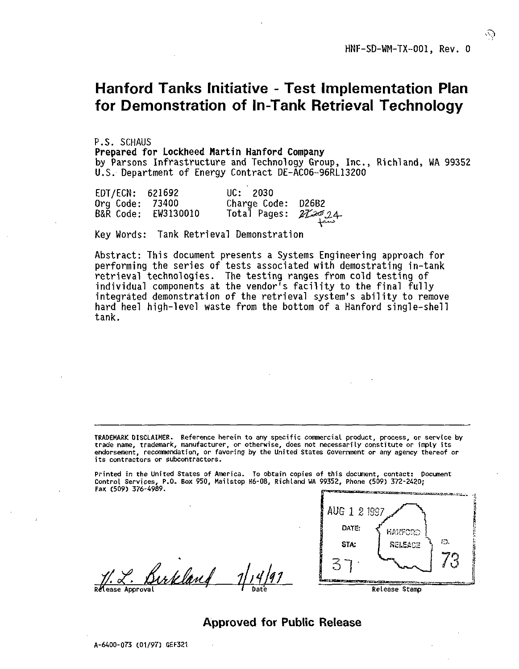## Hanford Tanks Initiative - Test Implementation Plan for Demonstration of In-Tank Retrieval Technology

P.S. SCHAUS **Prepared for Lockheed Martin Hanford Company** by Parsons Infrastructure and Technology Group, Inc., Rich!and, WA 99352 U.S. Department of Energy Contract DE-AC06-96RL13200

| EDT/ECN: 621692 |                     | UC: 2030            |  |
|-----------------|---------------------|---------------------|--|
| Org Code: 73400 |                     | Charge Code: D26B2  |  |
|                 | B&R Code: EW3130010 | Total Pages: 272624 |  |

Key Words: Tank Retrieval Demonstration

Abstract: This document presents a Systems Engineering approach for performing the series of tests associated with demostrating in-tank retrieval technologies. The testing ranges from cold testing of individual components at the vendor's facility to the final fully integrated demonstration of the retrieval system's ability to remove hard heel high-level waste from the bottom of a Hanford single-shell tank.

TRADEMARK DISCLAIMER. Reference herein to any specific commercial product, process, or service by trade name, trademark, manufacturer, or otherwise, does not necessarily constitute or imply its endorsement, recommendation, or favoring by the United States Government or any agency thereof or its contractors or subcontractors.

Printed in the United States of America. To obtain copies of this document, contact: Document Control Services, P.O. Box 950, Mailstop H6-08, Richland WA 99352, Phone (509) 372-2420; Fax (509) 376-4989.

 $H. Z.$  Burkland  $1/1/97$   $\sum_{\text{base} \atop \text{References} \text{ stronger}}$ 



## Approved for Public Release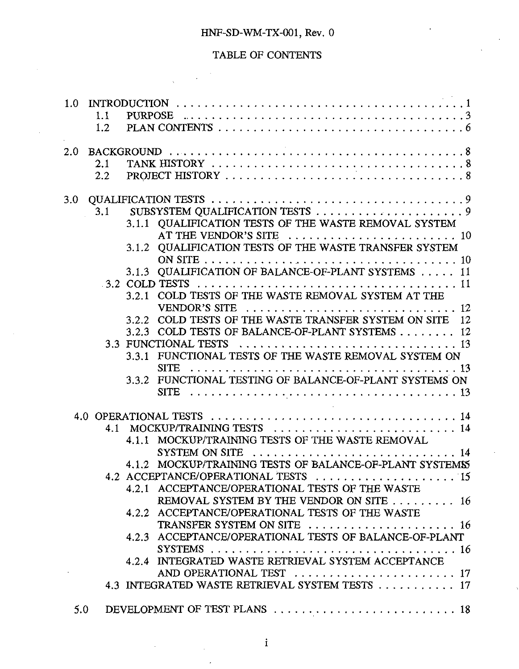## TABLE OF CONTENTS

| 1.0 | 1.1<br>1.2 | PURPOSE $\dots\dots\dots\dots\dots\dots\dots\dots\dots\dots\dots\dots\dots\dots3$<br>PLAN CONTENTS $\ldots \ldots \ldots \ldots \ldots \ldots \ldots \ldots \ldots \ldots \ldots \ldots$                                                                                            |
|-----|------------|-------------------------------------------------------------------------------------------------------------------------------------------------------------------------------------------------------------------------------------------------------------------------------------|
| 2.0 | 2.1<br>2.2 | BACKGROUND $\ldots \ldots \ldots \ldots \ldots \ldots \ldots \ldots \ldots \ldots \ldots$                                                                                                                                                                                           |
| 3.0 | 3.1        | 3.1.1 QUALIFICATION TESTS OF THE WASTE REMOVAL SYSTEM<br>AT THE VENDOR'S SITE $\ldots \ldots \ldots \ldots \ldots \ldots \ldots \ldots \ldots$<br>3.1.2 QUALIFICATION TESTS OF THE WASTE TRANSFER SYSTEM                                                                            |
|     |            | 3.1.3 OUALIFICATION OF BALANCE-OF-PLANT SYSTEMS 11<br>3.2.1 COLD TESTS OF THE WASTE REMOVAL SYSTEM AT THE<br>VENDOR'S SITE $\ldots \ldots \ldots \ldots \ldots \ldots \ldots \ldots \ldots \ldots 12$<br>3.2.2 COLD TESTS OF THE WASTE TRANSFER SYSTEM ON SITE 12                   |
|     |            | 3.2.3 COLD TESTS OF BALANCE-OF-PLANT SYSTEMS 12<br>3.3 FUNCTIONAL TESTS $\dots \dots \dots \dots \dots \dots \dots \dots \dots \dots \dots \dots$<br>FUNCTIONAL TESTS OF THE WASTE REMOVAL SYSTEM ON<br>3.3.1<br>SITE<br>FUNCTIONAL TESTING OF BALANCE-OF-PLANT SYSTEMS ON<br>3.3.2 |
|     | 4.1        | MOCKUP/TRAINING TESTS  14<br>4.1.1 MOCKUP/TRAINING TESTS OF THE WASTE REMOVAL<br>4.1.2 MOCKUP/TRAINING TESTS OF BALANCE-OF-PLANT SYSTEMS                                                                                                                                            |
|     |            | 4.2 ACCEPTANCE/OPERATIONAL TESTS  15<br>4.2.1 ACCEPTANCE/OPERATIONAL TESTS OF THE WASTE<br>REMOVAL SYSTEM BY THE VENDOR ON SITE  16<br>4.2.2 ACCEPTANCE/OPERATIONAL TESTS OF THE WASTE<br>TRANSFER SYSTEM ON SITE $\ldots \ldots \ldots \ldots \ldots \ldots$                       |
|     |            | 4.2.3 ACCEPTANCE/OPERATIONAL TESTS OF BALANCE-OF-PLANT<br>4.2.4 INTEGRATED WASTE RETRIEVAL SYSTEM ACCEPTANCE<br>AND OPERATIONAL TEST  17<br>4.3 INTEGRATED WASTE RETRIEVAL SYSTEM TESTS  17                                                                                         |
| 5.0 |            | DEVELOPMENT OF TEST PLANS  18                                                                                                                                                                                                                                                       |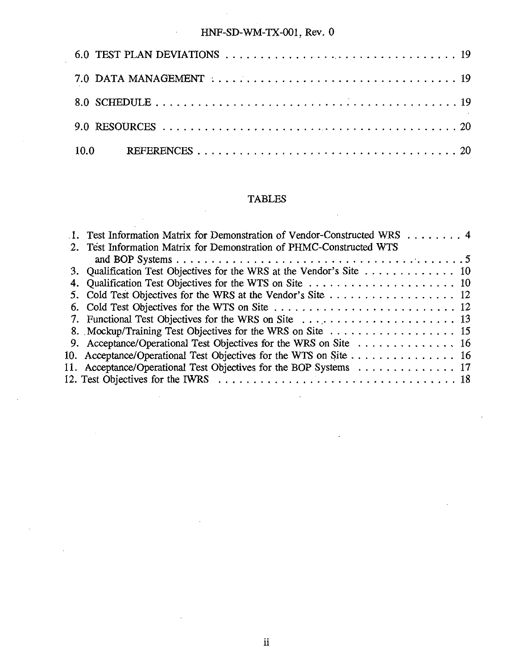## TABLES

| $\Lambda$ . Test Information Matrix for Demonstration of Vendor-Constructed WRS $\ldots$ ,  4                   |
|-----------------------------------------------------------------------------------------------------------------|
|                                                                                                                 |
|                                                                                                                 |
| 3. Qualification Test Objectives for the WRS at the Vendor's Site $\dots \dots \dots \dots$                     |
|                                                                                                                 |
|                                                                                                                 |
|                                                                                                                 |
|                                                                                                                 |
|                                                                                                                 |
| 9. Acceptance/Operational Test Objectives for the WRS on Site $\dots \dots \dots \dots$                         |
| 10. Acceptance/Operational Test Objectives for the WTS on Site $\dots \dots \dots \dots$                        |
|                                                                                                                 |
| 12. Test Objectives for the IWRS $\ldots \ldots \ldots \ldots \ldots \ldots \ldots \ldots \ldots \ldots \ldots$ |
|                                                                                                                 |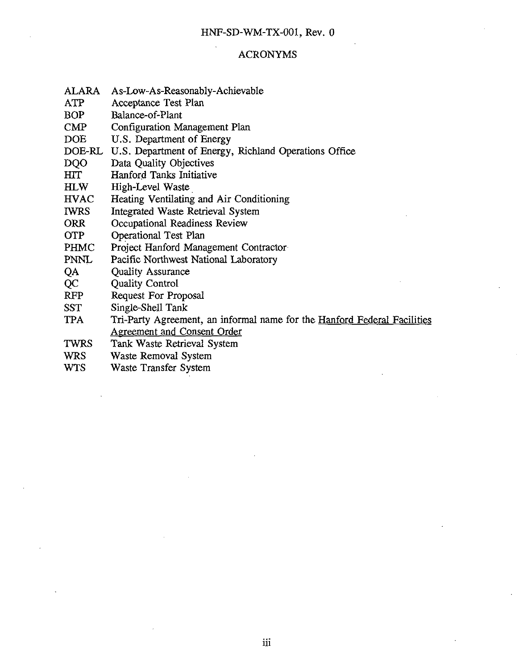### ACRONYMS

- ALARA As-Low-As-Reasonably-Achievable
- ATP Acceptance Test Plan
- BOP Balance-of-Plant
- CMP Configuration Management Plan
- DOE U.S. Department of Energy
- DOE-RL U.S. Department of Energy, Richland Operations Office
- DQO Data Quality Objectives
- HIT Hanford Tanks Initiative
- HLW High-Level Waste
- **HVAC** Heating Ventilating and Air Conditioning
- IWRS Integrated Waste Retrieval System
- ORR Occupational Readiness Review
- OTP Operational Test Plan
- PHMC Project Hanford Management Contractor
- PNNL Pacific Northwest National Laboratory
- QA Quality Assurance
- $OC$ Quality Control
- RFP Request For Proposal
- **SST** Single-Shell Tank
- TPA Tri-Partv Agreement, an informal name for the Hanford Federal Facilities Agreement and Consent Order
- TWRS Tank Waste Retrieval System
- WRS Waste Removal System
- WTS Waste Transfer System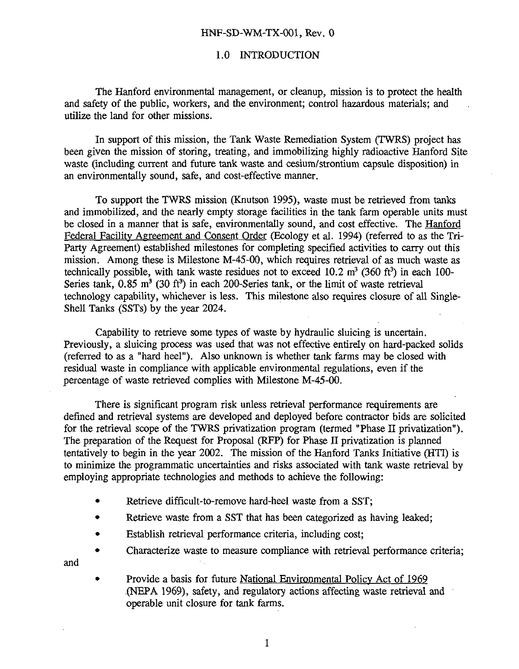### 1.0 INTRODUCTION

The Hanford environmental management, or cleanup, mission is to protect the health and safety of the public, workers, and the environment; control hazardous materials; and utilize the land for other missions.

In support of this mission, the Tank Waste Remediation System (TWRS) project has been given the mission of storing, treating, and immobilizing highly radioactive Hanford Site waste (including current and future tank waste and cesium/strontium capsule disposition) in an environmentally sound, safe, and cost-effective manner.

To support the TWRS mission (Knutson 1995), waste must be retrieved from tanks and immobilized, and the nearly empty storage facilities in the tank farm operable units must be closed in a manner that is safe, environmentally sound, and cost effective. The Hanford Federal Facility Agreement and Consent Order (Ecology et al. 1994) (referred to as the Tri-Party Agreement) established milestones for completing specified activities to carry out this mission. Among these is Milestone M-45-00, which requires retrieval of as much waste as technically possible, with tank waste residues not to exceed  $10.2 \text{ m}^3$  (360 ft<sup>3</sup>) in each 100-Series tank,  $0.85 \text{ m}^3$  (30 ft<sup>3</sup>) in each 200-Series tank, or the limit of waste retrieval technology capability, whichever is less. This milestone also requires closure of all Single-Shell Tanks (SSTs) by the year 2024.

Capability to retrieve some types of waste by hydraulic sluicing is uncertain. Previously, a sluicing process was used that was not effective entirely on hard-packed solids (referred to as a "hard heel"). Also unknown is whether tank farms may be closed with residual waste in compliance with applicable environmental regulations, even if the percentage of waste retrieved complies with Milestone M-45-00.

There is significant program risk unless retrieval performance requirements are defined and retrieval systems are developed and deployed before contractor bids are solicited for the retrieval scope of the TWRS privatization program (termed "Phase II privatization"). The preparation of the Request for Proposal (RFP) for Phase II privatization is planned tentatively to begin in the year 2002. The mission of the Hanford Tanks Initiative (HTI) is to minimize the programmatic uncertainties and risks associated with tank waste retrieval by employing appropriate technologies and methods to achieve the following:

- Retrieve difficult-to-remove hard-heel waste from a SST;
- Retrieve waste from a SST that has been categorized as having leaked;
- Establish retrieval performance criteria, including cost;

and

- Characterize waste to measure compliance with retrieval performance criteria;
	- Provide a basis for future National Environmental Policy Act of 1969 (NEPA 1969), safety, and regulatory actions affecting waste retrieval and operable unit closure for tank farms.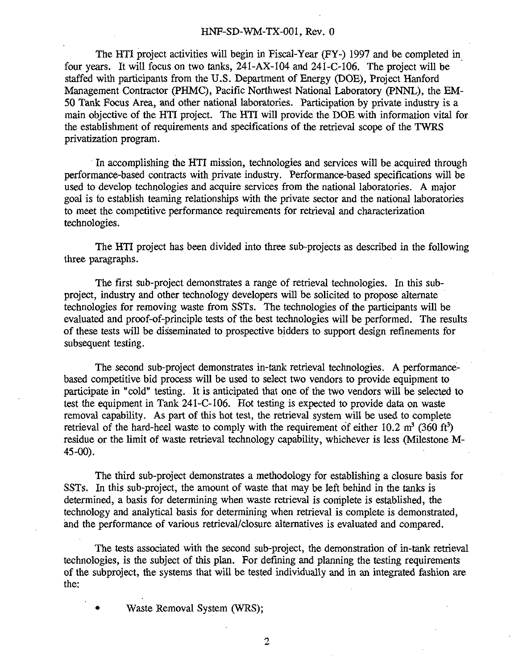The HTI project activities will begin in Fiscal-Year (FY-) 1997 and be completed in four years. It will focus on two tanks, 241-AX-104 and 241-C-106. The project will be staffed with participants from the U.S. Department of Energy (DOE), Project Hanford Management Contractor (PHMC), Pacific Northwest National Laboratory (PNNL), the EM-50 Tank Focus Area, and other national laboratories. Participation by private industry is a main objective of the HTI project. The HTI will provide the DOE with information vital for the establishment of requirements and specifications of the retrieval scope of the TWRS privatization program.

In accomplishing the HTI mission, technologies and services will be acquired through performance-based contracts with private industry. Performance-based specifications will be used to develop technologies and acquire services from the national laboratories. A major goal is to establish teaming relationships with the private sector and the national laboratories to meet the competitive performance requirements for retrieval and characterization technologies.

The HTI project has been divided into three sub-projects as described in the following three paragraphs.

The first sub-project demonstrates a range of retrieval technologies. In this subproject, industry and other technology developers will be solicited to propose alternate technologies for removing waste from SSTs. The technologies of the participants will be evaluated and proof-of-principle tests of the best technologies will be performed. The results of these tests will be disseminated to prospective bidders to support design refinements for subsequent testing.

The second sub-project demonstrates in-tank retrieval technologies. A performancebased competitive bid process will be used to select two vendors to provide equipment to participate in "cold" testing. It is anticipated that one of the two vendors will be selected to test the equipment in Tank 241-C-106. Hot testing is expected to provide data on waste removal capability. As part of this hot test, the retrieval system will be used to complete retrieval of the hard-heel waste to comply with the requirement of either 10.2 m<sup>3</sup> (360 ft<sup>3</sup>) residue or the limit of waste retrieval technology capability, whichever is less (Milestone M-45-00).

The third sub-project demonstrates a methodology for establishing a closure basis for SSTs. In this sub-project, the amount of waste that may be left behind in the tanks is determined, a basis for determining when waste retrieval is complete is established, the technology and analytical basis for determining when retrieval is complete is demonstrated, and the performance of various retrieval/closure alternatives is evaluated and compared.

The tests associated with the second sub-project, the demonstration of in-tank retrieval technologies, is the subject of this plan. For defining and planning the testing requirements of the subproject, the systems that will be tested individually and in an integrated fashion are the:

• Waste Removal System (WRS);

 $\overline{2}$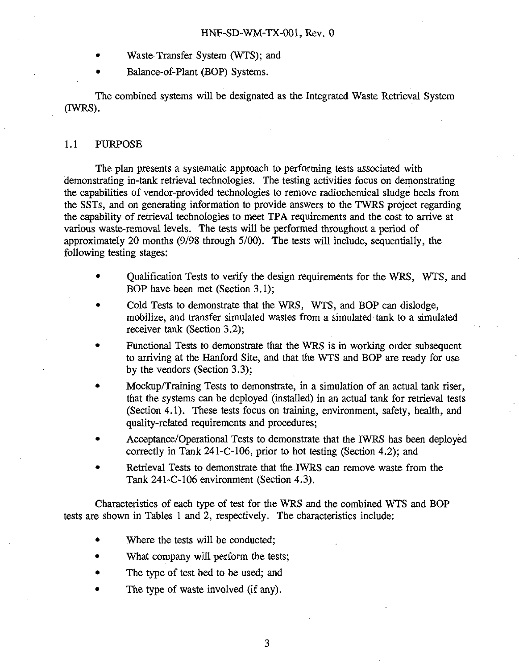- Waste Transfer System (WTS); and
- Balance-of-Plant (BOP) Systems.

The combined systems will be designated as the Integrated Waste Retrieval System (IWRS).

#### 1.1 PURPOSE

The plan presents a systematic approach to performing tests associated with demonstrating in-tank retrieval technologies. The testing activities focus on demonstrating the capabilities of vendor-provided technologies to remove radiochemical sludge heels from the SSTs, and on generating information to provide answers to the TWRS project regarding the capability of retrieval technologies to meet TPA requirements and the cost to arrive at various waste-removal levels. The tests will be performed throughout a period of approximately 20 months (9/98 through 5/00). The tests will include, sequentially, the following testing stages:

- Qualification Tests to verify the design requirements for the WRS, WTS, and BOP have been met (Section 3.1);
- Cold Tests to demonstrate that the WRS, WTS, and BOP can dislodge, mobilize, and transfer simulated wastes from a simulated tank to a simulated receiver tank (Section 3.2);
- Functional Tests to demonstrate that the WRS is in working order subsequent to arriving at the Hanford Site, and that the WTS and BOP are ready for use by the vendors (Section 3.3);
- Mockup/Training Tests to demonstrate, in a simulation of an actual tank riser, that the systems can be deployed (installed) in an actual tank for retrieval tests (Section 4.1). These tests focus on training, environment, safety, health, and quality-related requirements and procedures;
- Acceptance/Operational Tests to demonstrate that the IWRS has been deployed correctly in Tank 241-C-106, prior to hot testing (Section 4.2); and
- Retrieval Tests to demonstrate that the IWRS can remove waste from the Tank 241-C-106 environment (Section 4.3).

Characteristics of each type of test for the WRS and the combined WTS and BOP tests are shown in Tables 1 and 2, respectively. The characteristics include:

- Where the tests will be conducted;
- What company will perform the tests;
- The type of test bed to be used; and
- The type of waste involved (if any).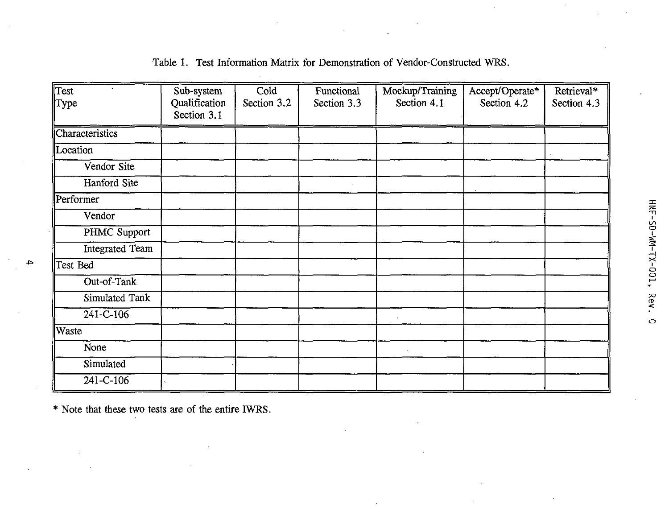| $\sqrt{\text{Test}}$ | Sub-system    | Cold        | Functional  | Mockup/Training | Accept/Operate* | Retrieval*  |
|----------------------|---------------|-------------|-------------|-----------------|-----------------|-------------|
| Type                 | Qualification | Section 3.2 | Section 3.3 | Section 4.1     | Section 4.2     | Section 4.3 |
|                      | Section 3.1   |             |             |                 |                 |             |
| Characteristics      |               |             |             |                 |                 |             |
| Location             |               |             |             |                 |                 |             |
| Vendor Site          |               |             |             |                 |                 |             |
| Hanford Site         |               |             |             |                 |                 |             |
| Performer            |               |             |             |                 |                 |             |
| Vendor               |               |             |             |                 |                 |             |
| PHMC Support         |               |             |             |                 |                 |             |
| Integrated Team      |               |             |             |                 |                 |             |
| Test Bed             |               |             |             |                 |                 |             |
| Out-of-Tank          |               |             |             |                 |                 |             |
| Simulated Tank       |               |             |             |                 |                 |             |
| 241-C-106            |               |             |             |                 |                 |             |
| ∥Waste               |               |             |             |                 |                 |             |
| None                 |               |             |             |                 |                 |             |
| Simulated            |               |             |             |                 |                 |             |
| 241-C-106            |               |             |             |                 |                 |             |

## Table 1. Test Information Matrix for Demonstration of Vendor-Constructed WRS.

\* Note that these two tests are of the entire IWRS.

4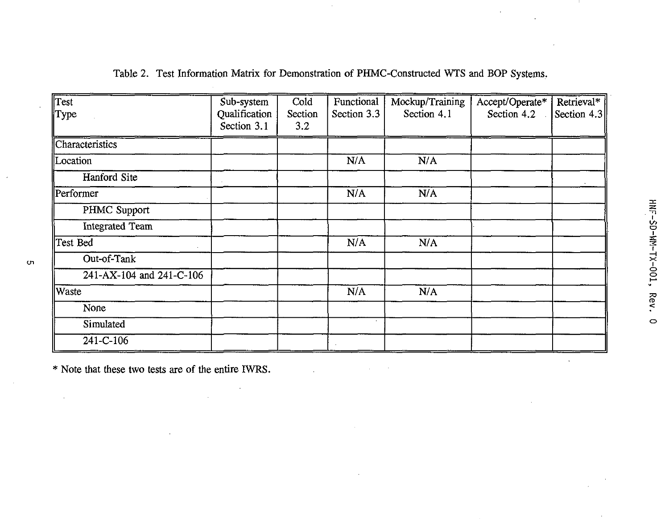| Test                     | Sub-system                   | Cold           | Functional  | Mockup/Training | Accept/Operate* | $Retricval*$  |
|--------------------------|------------------------------|----------------|-------------|-----------------|-----------------|---------------|
| $\ $ Type                | Oualification<br>Section 3.1 | Section<br>3.2 | Section 3.3 | Section 4.1     | Section 4.2     | Section $4.3$ |
| Characteristics          |                              |                |             |                 |                 |               |
| Location                 |                              |                | N/A         | N/A             |                 |               |
| Hanford Site             |                              |                |             |                 |                 |               |
| Performer                |                              |                | N/A         | N/A             |                 |               |
| PHMC Support             |                              |                |             |                 |                 |               |
| <b>Integrated Team</b>   |                              |                |             |                 |                 |               |
| Test Bed                 |                              |                | N/A         | N/A             |                 |               |
| Out-of-Tank              |                              |                |             |                 |                 |               |
| 241-AX-104 and 241-C-106 |                              |                |             |                 |                 |               |
| Waste                    |                              |                | N/A         | N/A             |                 |               |
| None                     |                              |                |             |                 |                 |               |
| Simulated                |                              |                |             |                 |                 |               |
| 241-C-106                |                              |                |             |                 |                 |               |

Table 2. Test Information Matrix for Demonstration of PHMC-Constructed WTS and BOP Systems.

\* Note that these two tests are of the entire IWRS.

**cn**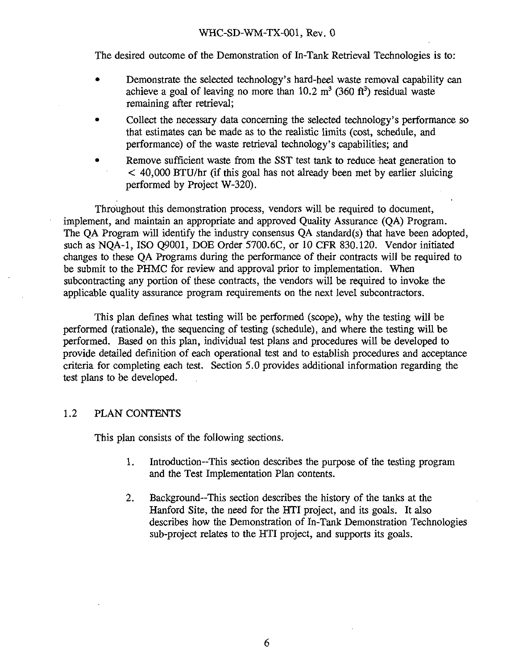The desired outcome of the Demonstration of In-Tank Retrieval Technologies is to:

- Demonstrate the selected technology's hard-heel waste removal capability can achieve a goal of leaving no more than  $10.2 \text{ m}^3$  (360 ft<sup>3</sup>) residual waste remaining after retrieval;
- Collect the necessary data concerning the selected technology's performance so that estimates can be made as to the realistic limits (cost, schedule, and performance) of the waste retrieval technology's capabilities; and
- Remove sufficient waste from the SST test tank to reduce heat generation to < 40,000 BTU/hr (if this goal has not already been met by earlier sluicing performed by Project W-320).

Throughout this demonstration process, vendors will be required to document, implement, and maintain an appropriate and approved Quality Assurance (QA) Program. The QA Program will identify the industry consensus QA standard(s) that have been adopted, such as NQA-1, ISO Q9001, DOE Order 5700.6C, or 10 CFR 830.120. Vendor initiated changes to these QA Programs during the performance of their contracts will be required to be submit to the PHMC for review and approval prior to implementation. When subcontracting any portion of these contracts, the vendors will be required to invoke the applicable quality assurance program requirements on the next level subcontractors.

This plan defines what testing will be performed (scope), why the testing will be performed (rationale), the sequencing of testing (schedule), and where the testing will be performed. Based on this plan, individual test plans and procedures will be developed to provide detailed definition of each operational test and to establish procedures and acceptance criteria for completing each test. Section 5.0 provides additional information regarding the test plans to be developed.

### 1.2 PLAN CONTENTS

This plan consists of the following sections.

- 1. Introduction—This section describes the purpose of the testing program and the Test Implementation Plan contents.
- 2. Background-This section describes the history of the tanks at the Hanford Site, the need for the HTI project, and its goals. It also describes how the Demonstration of In-Tank Demonstration Technologies sub-project relates to the HTI project, and supports its goals.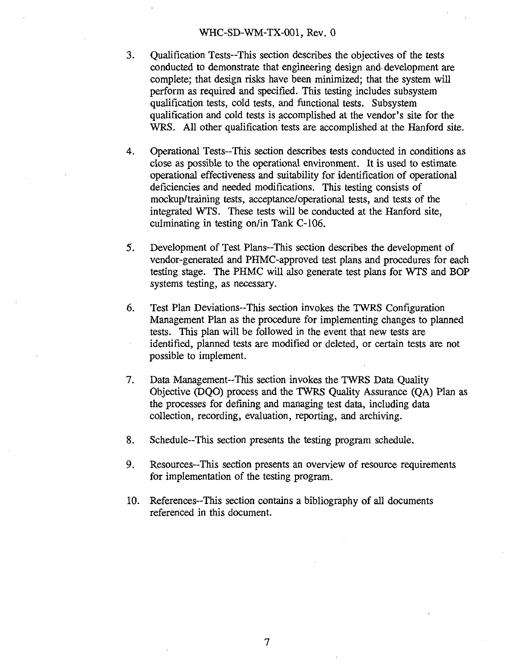- 3. Qualification Tests—This section describes the objectives of the tests conducted to demonstrate that engineering design and development are complete; that design risks have been minimized; that the system will perform as required and specified. This testing includes subsystem qualification tests, cold tests, and functional tests. Subsystem qualification and cold tests is accomplished at the vendor's site for the WKS. All other qualification tests are accomplished at the Hanford site.
- 4. Operational Tests—This section describes tests conducted in conditions as close as possible to the operational environment. It is used to estimate operational effectiveness and suitability for identification of operational deficiencies and needed modifications. This testing consists of mockup/training tests, acceptance/operational tests, and tests of the integrated WTS. These tests will be conducted at the Hanford site, culminating in testing on/in Tank C-106.
- 5. Development of Test Plans-This section describes the development of vendor-generated and PHMC-approved test plans and procedures for each testing stage. The PHMC will also generate test plans for WTS and BOP systems testing, as necessary.
- 6. Test Plan Deviations-This section invokes the TWRS Configuration Management Plan as the procedure for implementing changes to planned tests. This plan will be followed in the event that new tests are identified, planned tests are modified or deleted, or certain tests are not possible to implement.
- 7. Data Management-This section invokes the TWRS Data Quality Objective (DQO) process and the TWRS Quality Assurance (QA) Plan as the processes for defining and managing test data, including data collection, recording, evaluation, reporting, and archiving.
- 8. Schedule—This section presents the testing program schedule.
- 9. Resources—This section presents an overview of resource requirements for implementation of the testing program.
- 10. References—This section contains a bibliography of all documents referenced in this document.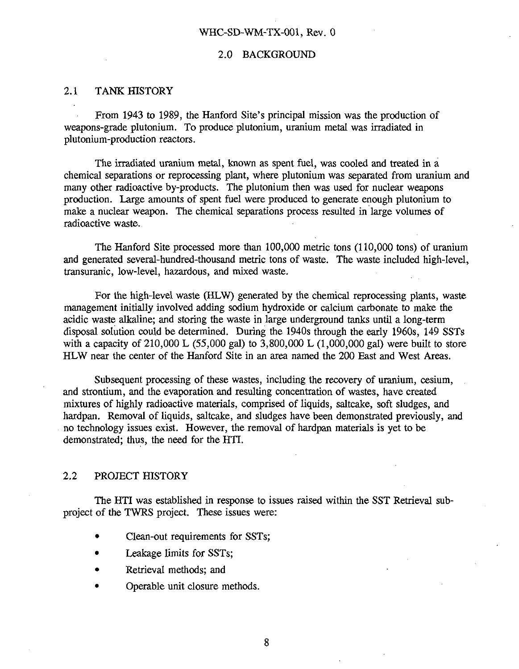## 2.0 BACKGROUND

#### 2.1 TANK HISTORY

From 1943 to 1989, the Hanford Site's principal mission was the production of weapons-grade plutonium. To produce plutonium, uranium metal was irradiated in plutonium-production reactors.

The irradiated uranium metal, known as spent fuel, was cooled and treated in a chemical separations or reprocessing plant, where plutonium was separated from uranium and many other radioactive by-products. The plutonium then was used for nuclear weapons production. Large amounts of spent fuel were produced to generate enough plutonium to make a nuclear weapon. The chemical separations process resulted in large volumes of radioactive waste.

The Hanford Site processed more than 100,000 metric tons (110,000 tons) of uranium and generated several-hundred-thousand metric tons of waste. The waste included high-level, transuranic, low-level, hazardous, and mixed waste.

For the high-level waste (HLW) generated by the chemical reprocessing plants, waste management initially involved adding sodium hydroxide or calcium carbonate to make the acidic waste alkaline; and storing the waste in large underground tanks until a long-term disposal solution could be determined. During the 1940s through the early 1960s, 149 SSTs with a capacity of 210,000 L (55,000 gal) to  $3,800,000$  L (1,000,000 gal) were built to store HLW near the center of the Hanford Site in an area named the 200 East and West Areas.

Subsequent processing of these wastes, including the recovery of uranium, cesium, and strontium, and the evaporation and resulting concentration of wastes, have created mixtures of highly radioactive materials, comprised of liquids, saltcake, soft sludges, and hardpan. Removal of liquids, saltcake, and sludges have been demonstrated previously, and no technology issues exist. However, the removal of hardpan materials is yet to be demonstrated; thus, the need for the HTI.

## 2.2 PROJECT HISTORY

The HTI was established in response to issues raised within the SST Retrieval subproject of the TWRS project. These issues were:

- Clean-out requirements for SSTs;
- Leakage limits for SSTs;
- Retrieval methods; and
- Operable unit closure methods.

8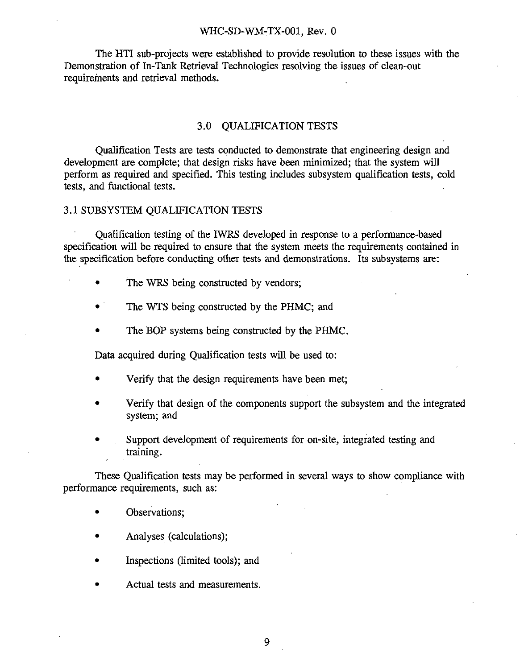The HTI sub-projects were established to provide resolution to these issues with the Demonstration of In-Tank Retrieval Technologies resolving the issues of clean-out requirements and retrieval methods.

### 3.0 QUALIFICATION TESTS

Qualification Tests are tests conducted to demonstrate that engineering design and development are complete; that design risks have been minimized; that the system will perform as required and specified. This testing includes subsystem qualification tests, cold tests, and functional tests.

## 3.1 SUBSYSTEM QUALIFICATION TESTS

Qualification testing of the IWRS developed in response to a performance-based specification will be required to ensure that the system meets the requirements contained in the specification before conducting other tests and demonstrations. Its subsystems are:

- The WRS being constructed by vendors:
- The WTS being constructed by the PHMC; and
- The BOP systems being constructed by the PHMC.

Data acquired during Qualification tests will be used to:

- Verify that the design requirements have been met:
- Verify that design of the components support the subsystem and the integrated system; and
- Support development of requirements for on-site, integrated testing and training.

These Qualification tests may be performed in several ways to show compliance with performance requirements, such as:

- Observations;
- Analyses (calculations);
- Inspections (limited tools); and
- Actual tests and measurements.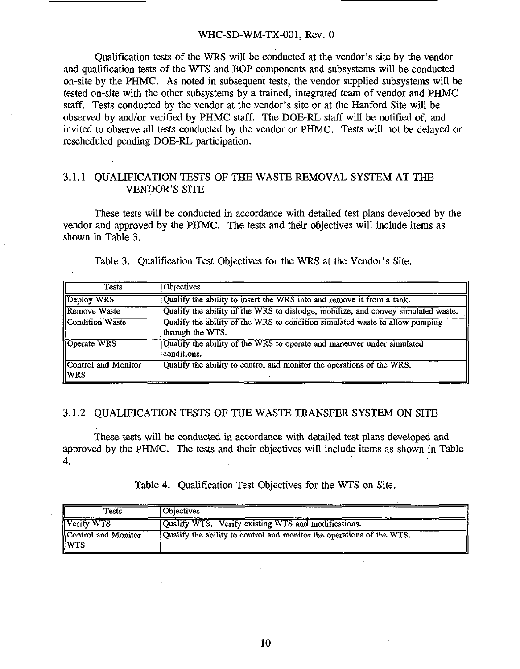Qualification tests of the WRS will be conducted at the vendor's site by the vendor and qualification tests of the WTS and BOP components and subsystems will be conducted on-site by the PHMC. As noted in subsequent tests, the vendor supplied subsystems will be tested on-site with the other subsystems by a trained, integrated team of vendor and PHMC staff. Tests conducted by the vendor at the vendor's site or at the Hanford Site will be observed by and/or verified by PHMC staff. The DOE-RL staff will be notified of, and invited to observe all tests conducted by the vendor or PHMC. Tests will not be delayed or rescheduled pending DOE-RL participation.

## 3.1.1 QUALIFICATION TESTS OF THE WASTE REMOVAL SYSTEM AT THE VENDOR'S SITE

These tests will be conducted in accordance with detailed test plans developed by the vendor and approved by the PHMC. The tests and their objectives will include items as shown in Table 3.

| <b>Tests</b>                       | <b>Objectives</b>                                                                                |
|------------------------------------|--------------------------------------------------------------------------------------------------|
| Deploy WRS                         | Qualify the ability to insert the WRS into and remove it from a tank.                            |
| Remove Waste                       | Qualify the ability of the WRS to dislodge, mobilize, and convey simulated waste.                |
| <b>Condition Waste</b>             | Qualify the ability of the WRS to condition simulated waste to allow pumping<br>through the WTS. |
| Operate WRS                        | Qualify the ability of the WRS to operate and maneuver under simulated<br>conditions.            |
| Control and Monitor<br><b>IWRS</b> | Qualify the ability to control and monitor the operations of the WRS.                            |

Table 3. Qualification Test Objectives for the WRS at the Vendor's Site.

#### 3.1.2 QUALIFICATION TESTS OF THE WASTE TRANSFER SYSTEM ON SITE

These tests will be conducted in accordance with detailed test plans developed and approved by the PHMC. The tests and their objectives will include items as shown in Table  $4.$ 

Table 4. Qualification Test Objectives for the WTS on Site.

| Tests                         | <b>Objectives</b>                                                     |
|-------------------------------|-----------------------------------------------------------------------|
| Verify WTS                    | Qualify WTS. Verify existing WTS and modifications.                   |
| Control and Monitor<br>ll WTS | Qualify the ability to control and monitor the operations of the WTS. |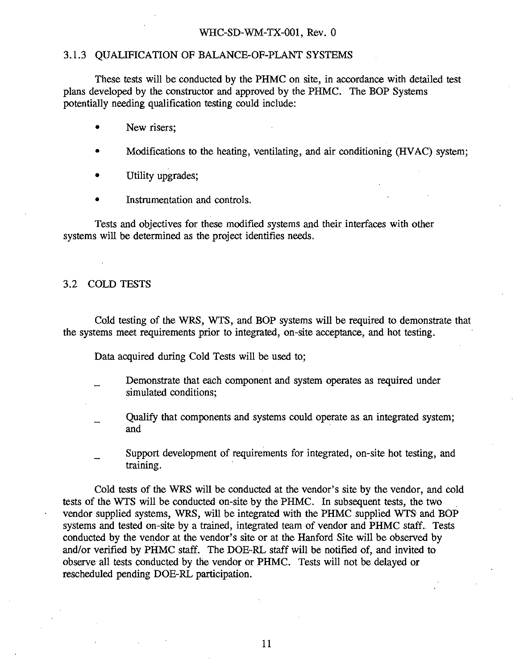### 3.1.3 QUALIFICATION OF BALANCE-OF-PLANT SYSTEMS

These tests will be conducted by the PHMC on site, in accordance with detailed test plans developed by the constructor and approved by the PHMC. The BOP Systems potentially needing qualification testing could include:

- New risers:
- Modifications to the heating, ventilating, and air conditioning (HVAC) system;
- Utility upgrades;
- Instrumentation and controls.

Tests and objectives for these modified systems and their interfaces with other systems will be determined as the project identifies needs.

### 3.2 COLD TESTS

Cold testing of the WRS, WTS, and BOP systems will be required to demonstrate that the systems meet requirements prior to integrated, on-site acceptance, and hot testing.

Data acquired during Cold Tests will be used to;

- Demonstrate that each component and system operates as required under simulated conditions;
- \_ Qualify that components and systems could operate as an integrated system; and
- Support development of requirements for integrated, on-site hot testing, and training.

Cold tests of the WRS will be conducted at the vendor's site by the vendor, and cold tests of the WTS will be conducted on-site by the PHMC. In subsequent tests, the two vendor supplied systems, WRS, will be integrated with the PHMC supplied WTS and BOP systems and tested on-site by a trained, integrated team of vendor and PHMC staff. Tests conducted by the vendor at the vendor's site or at the Hanford Site will be observed by and/or verified by PHMC staff. The DOE-RL staff will be notified of, and invited to observe all tests conducted by the vendor or PHMC. Tests will not be delayed or rescheduled pending DOE-RL participation.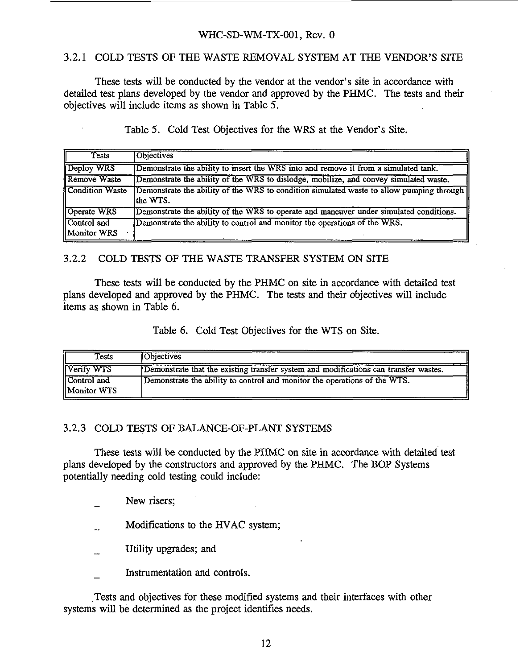## 3.2.1 COLD TESTS OF THE WASTE REMOVAL SYSTEM AT THE VENDOR'S SITE

These tests will be conducted by the vendor at the vendor's site in accordance with detailed test plans developed by the vendor and approved by the PHMC. The tests and their objectives will include items as shown in Table 5.

Table 5. Cold Test Objectives for the WRS at the Vendor's Site.

| Tests                      | <b>Objectives</b>                                                                                    |
|----------------------------|------------------------------------------------------------------------------------------------------|
| Deploy WRS                 | Demonstrate the ability to insert the WRS into and remove it from a simulated tank.                  |
| Remove Waste               | Demonstrate the ability of the WRS to dislodge, mobilize, and convey simulated waste.                |
| Condition Waste            | Demonstrate the ability of the WRS to condition simulated waste to allow pumping through<br>the WTS. |
| <b>Operate WRS</b>         | Demonstrate the ability of the WRS to operate and maneuver under simulated conditions.               |
| Control and<br>Monitor WRS | Demonstrate the ability to control and monitor the operations of the WRS.                            |

## 3,2.2 COLD TESTS OF THE WASTE TRANSFER SYSTEM ON SITE

These tests will be conducted by the PHMC on site in accordance with detailed test plans developed and approved by the PHMC. The tests and their objectives will include items as shown in Table 6.

Table 6. Cold Test Objectives for the WTS on Site.

| <b>Tests</b>               | <b>Objectives</b>                                                                    |
|----------------------------|--------------------------------------------------------------------------------------|
| Verify WTS                 | Demonstrate that the existing transfer system and modifications can transfer wastes. |
| Control and<br>Monitor WTS | Demonstrate the ability to control and monitor the operations of the WTS.            |

#### 3.2.3 COLD TESTS OF BALANCE-OF-PLANT SYSTEMS

These tests will be conducted by the PHMC on site in accordance with detailed test plans developed by the constructors and approved by the PHMC. The BOP Systems potentially needing cold testing could include:

- New risers;
- Modifications to the HVAC system;
- Utility upgrades; and
- \_ Instrumentation and controls.

.Tests and objectives for these modified systems and their interfaces with other systems will be determined as the project identifies needs.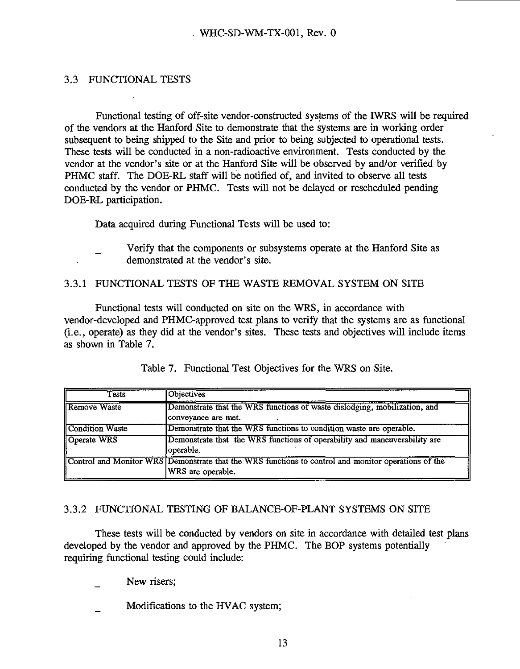## 3.3 FUNCTIONAL TESTS

Functional testing of off-site vendor-constructed systems of the IWRS will be required of the vendors at the Hanford Site to demonstrate that the systems are in working order subsequent to being shipped to the Site and prior to being subjected to operational tests. These tests will be conducted in a non-radioactive environment. Tests conducted by the vendor at the vendor's site or at the Hanford Site will be observed by and/or verified by PHMC staff. The DOE-RL staff will be notified of, and invited to observe all tests conducted by the vendor or PHMC. Tests will not be delayed or rescheduled pending DOE-RL participation.

Data acquired during Functional Tests will be used to:

Verify that the components or subsystems operate at the Hanford Site as demonstrated at the vendor's site.

## 3.3.1 FUNCTIONAL TESTS OF THE WASTE REMOVAL SYSTEM ON SITE

Functional tests will conducted on site on the WRS, in accordance with vendor-developed and PHMC-approved test plans to verify that the systems are as functional (i.e., operate) as they did at the vendor's sites. These tests and objectives will include items as shown in Table 7.

| Tests           | <b>Objectives</b>                                                                                                        |
|-----------------|--------------------------------------------------------------------------------------------------------------------------|
| Remove Waste    | Demonstrate that the WRS functions of waste dislodging, mobilization, and<br>conveyance are met.                         |
| Condition Waste | Demonstrate that the WRS functions to condition waste are operable.                                                      |
| Operate WRS     | Demonstrate that the WRS functions of operability and maneuverability are<br>operable.                                   |
|                 | Control and Monitor WRS Demonstrate that the WRS functions to control and monitor operations of the<br>WRS are operable. |

Table 7. Functional Test Objectives for the WRS on Site.

## 3.3.2 FUNCTIONAL TESTING OF BALANCE-OF-PLANT SYSTEMS ON SITE

These tests will be conducted by vendors on site in accordance with detailed test plans developed by the vendor and approved by the PHMC. The BOP systems potentially requiring functional testing could include:

- New risers:
- Modifications to the HVAC system;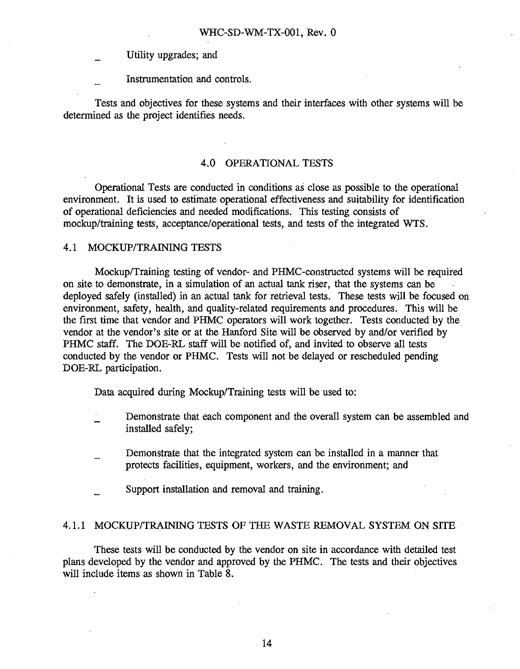Utility upgrades; and

Instrumentation and controls.

Tests and objectives for these systems and their interfaces with other systems will be determined as the project identifies needs.

## 4.0 OPERATIONAL TESTS

Operational Tests are conducted in conditions as close as possible to the operational environment. It is used to estimate operational effectiveness and suitability for identification of operational deficiencies and needed modifications. This testing consists of mockup/training tests, acceptance/operational tests, and tests of the integrated WTS.

#### 4.1 MOCKUP/TRAINING TESTS

Mockup/Training testing of vendor- and PHMC-constructed systems will be required on site to demonstrate, in a simulation of an actual tank riser, that the systems can be deployed safely (installed) in an actual tank for retrieval tests. These tests will be focused on environment, safety, health, and quality-related requirements and procedures. This will be the first time that vendor and PHMC operators will work together. Tests conducted by the vendor at the vendor's site or at the Hanford Site will be observed by and/or verified by PHMC staff. The DOE-RL staff will be notified of, and invited to observe all tests conducted by the vendor or PHMC. Tests will not be delayed or rescheduled pending DOE-RL participation.

Data acquired during Mockup/Training tests will be used to:

- Demonstrate that each component and the overall system can be assembled and installed safely;
- Demonstrate that the integrated system can be installed in a manner that protects facilities, equipment, workers, and the environment; and
- Support installation and removal and training.

### 4.1.1 MOCKUP/TRAINING TESTS OF THE WASTE REMOVAL SYSTEM ON SITE

These tests will be conducted by the vendor on site in accordance with detailed test plans developed by the vendor and approved by the PHMC. The tests and their objectives will include items as shown in Table 8.

14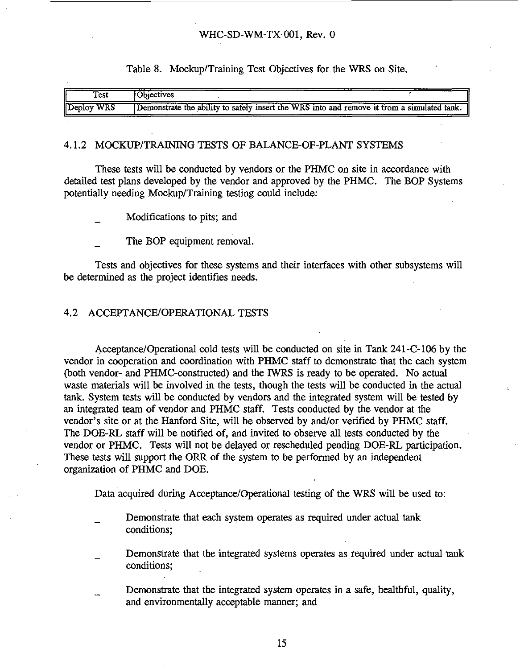Table 8. Mockup/Training Test Objectives for the WRS on Site.

| Test       | Obiectives |                                                                                                 |
|------------|------------|-------------------------------------------------------------------------------------------------|
| Deploy WRS |            | Demonstrate the ability to safely insert the WRS into and remove it from a simulated tank.<br>ш |

#### 4.1.2 MOCKUP/TRAINING TESTS OF BALANCE-OF-PLANT SYSTEMS

These tests will be conducted by vendors or the PHMC on site in accordance with detailed test plans developed by the vendor and approved by the PHMC. The BOP Systems potentially needing Mockup/Training testing could include:

\_ Modifications to pits; and

The BOP equipment removal.

Tests and objectives for these systems and their interfaces with other subsystems will be determined as the project identifies needs.

#### 4.2 ACCEPTANCE/OPERATIONAL TESTS

Acceptance/Operational cold tests will be conducted on site in Tank 241-C-106 by the vendor in cooperation and coordination with PHMC staff to demonstrate that the each system (both vendor- and PHMC-constructed) and the IWRS is ready to be operated. No actual waste materials will be involved in the tests, though the tests will be conducted in the actual tank. System tests will be conducted by vendors and the integrated system will be tested by an integrated team of vendor and PHMC staff. Tests conducted by the vendor at the vendor's site or at the Hanford Site, will be observed by and/or verified by PHMC staff. The DOE-RL staff will be notified of, and invited to observe all tests conducted by the vendor or PHMC. Tests will not be delayed or rescheduled pending DOE-RL participation. These tests will support the ORR of the system to be performed by an independent organization of PHMC and DOE.

Data acquired during Acceptance/Operational testing of the WRS will be used to:

- Demonstrate that each system operates as required under actual tank conditions;
- Demonstrate that the integrated systems operates as required under actual tank conditions;
- Demonstrate that the integrated system operates in a safe, healthful, quality, and environmentally acceptable manner; and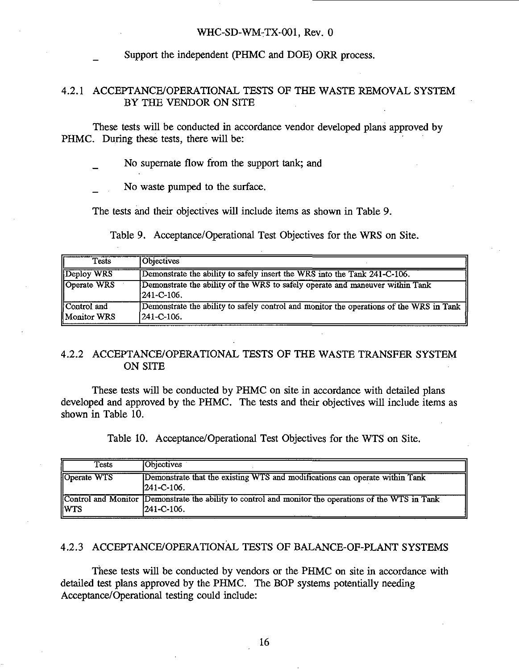Support the independent (PHMC and DOE) ORR process.

## 4.2.1 ACCEPTANCE/OPERATIONAL TESTS OF THE WASTE REMOVAL SYSTEM BY THE VENDOR ON SITE

These tests will be conducted in accordance vendor developed plans approved by PHMC. During these tests, there will be:

No supernate flow from the support tank; and

No waste pumped to the surface.

The tests and their objectives will include items as shown in Table 9.

Table 9. Acceptance/Operational Test Objectives for the WRS on Site.

| Tests                      | Objectives                                                                                            |
|----------------------------|-------------------------------------------------------------------------------------------------------|
| Deploy WRS                 | Demonstrate the ability to safely insert the WRS into the Tank 241-C-106.                             |
| Operate WRS                | Demonstrate the ability of the WRS to safely operate and maneuver within Tank<br>241-C-106.           |
| Control and<br>Monitor WRS | Demonstrate the ability to safely control and monitor the operations of the WRS in Tank<br>241-C-106. |

## 4.2.2 ACCEPTANCE/OPERATIONAL TESTS OF THE WASTE TRANSFER SYSTEM ON SITE

These tests will be conducted by PHMC on site in accordance with detailed plans developed and approved by the PHMC. The tests and their objectives will include items as shown in Table 10.

Table 10. Acceptance/Operational Test Objectives for the WTS on Site.

| Tests       | <b>Objectives</b>                                                                                                  |
|-------------|--------------------------------------------------------------------------------------------------------------------|
| Operate WTS | Demonstrate that the existing WTS and modifications can operate within Tank<br>$1241 - C - 106$ .                  |
| <b>IWTS</b> | Control and Monitor Demonstrate the ability to control and monitor the operations of the WTS in Tank<br>241-C-106. |

### 4.2.3 ACCEPTANCE/OPERATIONAL TESTS OF BALANCE-OF-PLANT SYSTEMS

These tests will be conducted by vendors or the PHMC on site in accordance with detailed test plans approved by the PHMC. The BOP systems potentially needing Acceptance/Operational testing could include: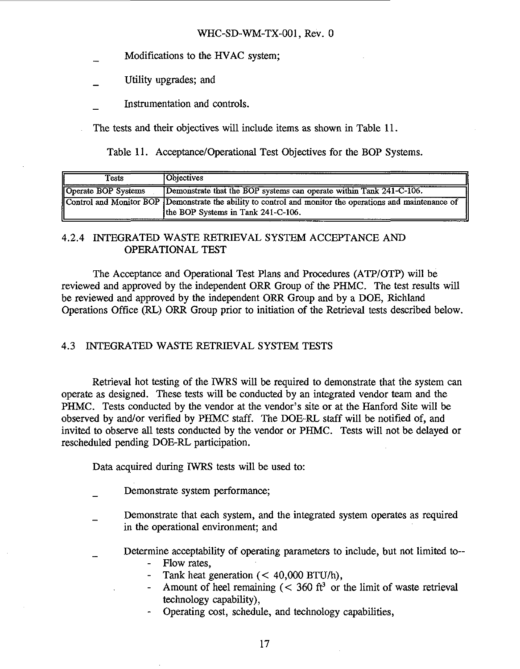## Modifications to the HVAC system;

- Utility upgrades; and
- \_ Instrumentation and controls.

The tests and their objectives will include items as shown in Table 11.

Table 11. Acceptance/Operational Test Objectives for the BOP Systems.

| Tests               | <b>Objectives</b>                                                                                        |
|---------------------|----------------------------------------------------------------------------------------------------------|
| Operate BOP Systems | Demonstrate that the BOP systems can operate within Tank 241-C-106.                                      |
|                     | Control and Monitor BOP Demonstrate the ability to control and monitor the operations and maintenance of |
|                     | the BOP Systems in Tank 241-C-106.                                                                       |

## 4.2.4 INTEGRATED WASTE RETRIEVAL SYSTEM ACCEPTANCE AND OPERATIONAL TEST

The Acceptance and Operational Test Plans and Procedures (ATP/OTP) will be reviewed and approved by the independent ORR Group of the PHMC. The test results will be reviewed and approved by the independent ORR Group and by a DOE, Richland Operations Office (RL) ORR Group prior to initiation of the Retrieval tests described below.

## 4.3 INTEGRATED WASTE RETRIEVAL SYSTEM TESTS

Retrieval hot testing of the IWRS will be required to demonstrate that the system can operate as designed. These tests will be conducted by an integrated vendor team and the PHMC. Tests conducted by the vendor at the vendor's site or at the Hanford Site will be observed by and/or verified by PHMC staff. The DOE-RL staff will be notified of, and invited to observe all tests conducted by the vendor or PHMC. Tests will not be delayed or rescheduled pending DOE-RL participation.

Data acquired during IWRS tests will be used to:

- \_ Demonstrate system performance;
- \_ Demonstrate that each system, and the integrated system operates as required in the operational environment; and
- Determine acceptability of operating parameters to include, but not limited to—
	- Flow rates,
	- Tank heat generation  $(< 40,000$  BTU/h),
	- Amount of heel remaining  $(< 360 \text{ ft}^3 \text{ or the limit of waste retrieval})$ technology capability),
	- Operating cost, schedule, and technology capabilities,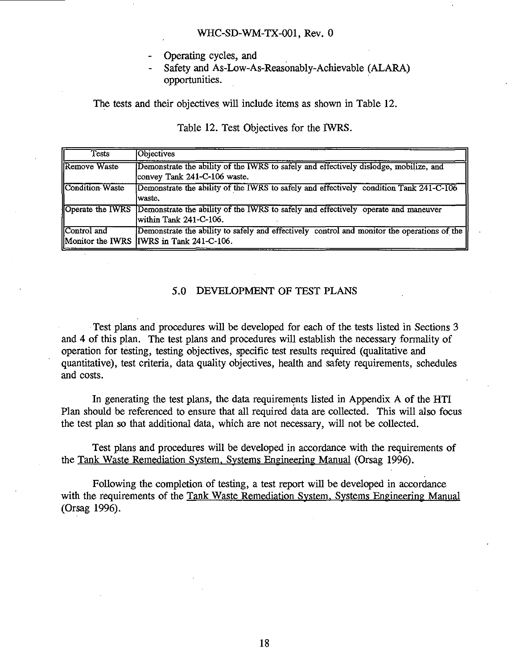- Operating cycles, and
- Safety and As-Low-As-Reasonably-Achievable (ALARA) opportunities.

The tests and their objectives will include items as shown in Table 12.

| <b>Tests</b>    | <b>Objectives</b>                                                                                                                        |
|-----------------|------------------------------------------------------------------------------------------------------------------------------------------|
| Remove Waste    | Demonstrate the ability of the IWRS to safely and effectively dislodge, mobilize, and<br>lconvev Tank 241-C-106 waste.                   |
| Condition Waste | Demonstrate the ability of the IWRS to safely and effectively condition Tank 241-C-106<br>waste.                                         |
|                 | Operate the IWRS Demonstrate the ability of the IWRS to safely and effectively operate and maneuver<br>within Tank 241-C-106.            |
| Control and     | Demonstrate the ability to safely and effectively control and monitor the operations of the<br>Monitor the IWRS IIWRS in Tank 241-C-106. |

Table 12. Test Objectives for the IWRS.

## 5.0 DEVELOPMENT OF TEST PLANS

Test plans and procedures will be developed for each of the tests listed in Sections 3 and 4 of this plan. The test plans and procedures will establish the necessary formality of operation for testing, testing objectives, specific test results required (qualitative and quantitative), test criteria, data quality objectives, health and safety requirements, schedules and costs.

In generating the test plans, the data requirements listed in Appendix A of the HTI Plan should be referenced to ensure that all required data are collected. This will also focus the test plan so that additional data, which are not necessary, will not be collected.

Test plans and procedures will be developed in accordance with the requirements of the Tank Waste Remediation System. Systems Engineering Manual (Orsag 1996).

Following the completion of testing, a test report will be developed in accordance with the requirements of the Tank Waste Remediation System. Systems Engineering Manual (Orsag 1996).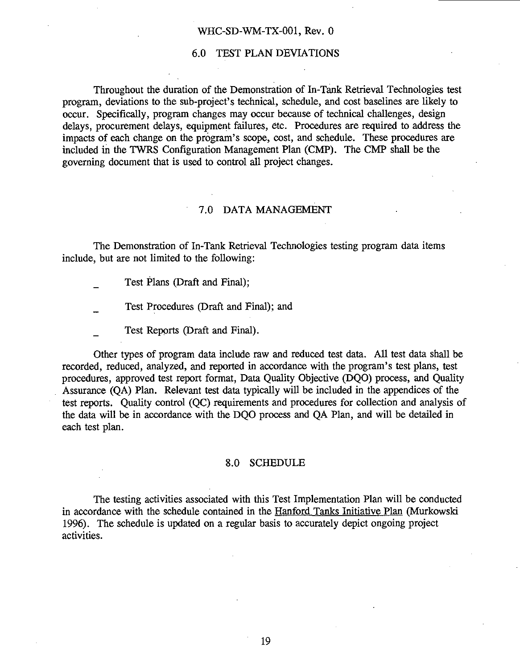## 6.0 TEST PLAN DEVIATIONS

Throughout the duration of the Demonstration of In-Tank Retrieval Technologies test program, deviations to the sub-project's technical, schedule, and cost baselines are likely to occur. Specifically, program changes may occur because of technical challenges, design delays, procurement delays, equipment failures, etc. Procedures are required to address the impacts of each change on the program's scope, cost, and schedule. These procedures are included in the TWRS Configuration Management Plan (CMP). The CMP shall be the governing document that is used to control all project changes.

#### 7.0 DATA MANAGEMENT

The Demonstration of In-Tank Retrieval Technologies testing program data items include, but are not limited to the following:

- Test Plans (Draft and Final);
- Test Procedures (Draft and Final); and
- Test Reports (Draft and Final).

Other types of program data include raw and reduced test data. All test data shall be recorded, reduced, analyzed, and reported in accordance with the program's test plans, test procedures, approved test report format, Data Quality Objective (DQO) process, and Quality Assurance (QA) Plan. Relevant test data typically will be included in the appendices of the test reports. Quality control (QC) requirements and procedures for collection and analysis of the data will be in accordance with the DQO process and QA Plan, and will be detailed in each test plan.

## 8.0 SCHEDULE

The testing activities associated with this Test Implementation Plan will be conducted in accordance with the schedule contained in the Hanford Tanks Initiative Plan (Murkowski 1996). The schedule is updated on a regular basis to accurately depict ongoing project activities.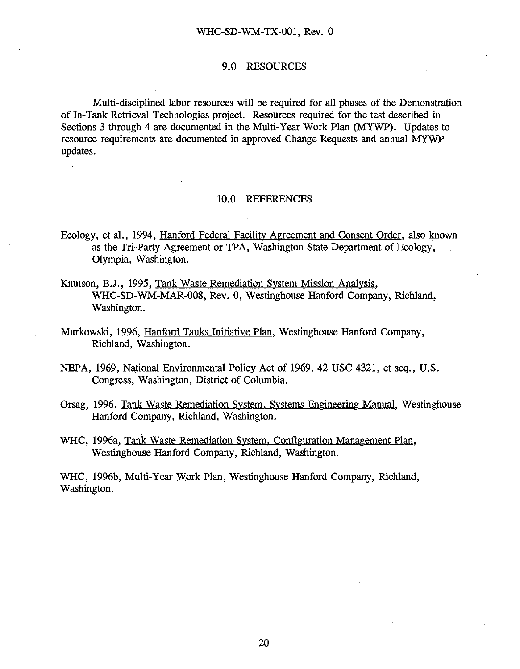### 9.0 RESOURCES

Multi-disciplined labor resources will be required for all phases of the Demonstration of In-Tank Retrieval Technologies project. Resources required for the test described in Sections 3 through 4 are documented in the Multi-Year Work Plan (MYWP). Updates to resource requirements are documented in approved Change Requests and annual MYWP updates.

#### 10.0 REFERENCES

- Ecology, et al., 1994, Hanford Federal Facility Agreement and Consent Order, also known as the Tri-Party Agreement or TPA, Washington State Department of Ecology, Olympia, Washington.
- Knutson, B.J., 1995, Tank Waste Remediation System Mission Analysis. WHC-SD-WM-MAR-008, Rev. 0, Westinghouse Hanford Company, Richland, Washington.
- Murkowski, 1996, Hanford Tanks Initiative Plan. Westinghouse Hanford Company, Richland, Washington.
- NEPA, 1969, National Environmental Policy Act of 1969. 42 USC 4321, et seq., U.S. Congress, Washington, District of Columbia.
- Orsag, 1996, Tank Waste Remediation System. Systems Engineering Manual. Westinghouse Hanford Company, Richland, Washington.
- WHC, 1996a, Tank Waste Remediation System. Configuration Management Plan. Westinghouse Hanford Company, Richland, Washington.

WHC, 1996b, Multi-Year Work Plan. Westinghouse Hanford Company, Richland, Washington.